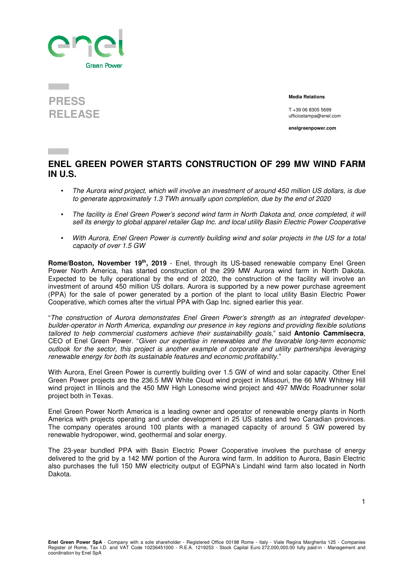



 **Media Relations** 

T +39 06 8305 5699 ufficiostampa@enel.com

**enelgreenpower.com**

## **ENEL GREEN POWER STARTS CONSTRUCTION OF 299 MW WIND FARM IN U.S.**

- The Aurora wind project, which will involve an investment of around 450 million US dollars, is due to generate approximately 1.3 TWh annually upon completion, due by the end of 2020
- The facility is Enel Green Power's second wind farm in North Dakota and, once completed, it will sell its energy to global apparel retailer Gap Inc. and local utility Basin Electric Power Cooperative
- With Aurora, Enel Green Power is currently building wind and solar projects in the US for a total capacity of over 1.5 GW

**Rome/Boston, November 19th, 2019** - Enel, through its US-based renewable company Enel Green Power North America, has started construction of the 299 MW Aurora wind farm in North Dakota. Expected to be fully operational by the end of 2020, the construction of the facility will involve an investment of around 450 million US dollars. Aurora is supported by a new power purchase agreement (PPA) for the sale of power generated by a portion of the plant to local utility Basin Electric Power Cooperative, which comes after the virtual PPA with Gap Inc. signed earlier this year.

"The construction of Aurora demonstrates Enel Green Power's strength as an integrated developerbuilder-operator in North America, expanding our presence in key regions and providing flexible solutions tailored to help commercial customers achieve their sustainability goals," said **Antonio Cammisecra**, CEO of Enel Green Power. "Given our expertise in renewables and the favorable long-term economic outlook for the sector, this project is another example of corporate and utility partnerships leveraging renewable energy for both its sustainable features and economic profitability."

With Aurora, Enel Green Power is currently building over 1.5 GW of wind and solar capacity. Other Enel Green Power projects are the 236.5 MW White Cloud wind project in Missouri, the 66 MW Whitney Hill wind project in Illinois and the 450 MW High Lonesome wind project and 497 MWdc Roadrunner solar project both in Texas.

Enel Green Power North America is a leading owner and operator of renewable energy plants in North America with projects operating and under development in 25 US states and two Canadian provinces. The company operates around 100 plants with a managed capacity of around 5 GW powered by renewable hydropower, wind, geothermal and solar energy.

The 23-year bundled PPA with Basin Electric Power Cooperative involves the purchase of energy delivered to the grid by a 142 MW portion of the Aurora wind farm. In addition to Aurora, Basin Electric also purchases the full 150 MW electricity output of EGPNA's Lindahl wind farm also located in North Dakota.